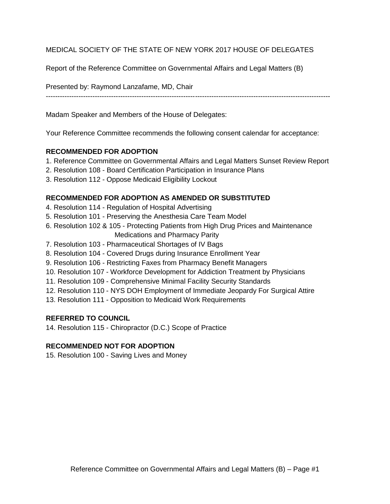MEDICAL SOCIETY OF THE STATE OF NEW YORK 2017 HOUSE OF DELEGATES

Report of the Reference Committee on Governmental Affairs and Legal Matters (B)

Presented by: Raymond Lanzafame, MD, Chair

--------------------------------------------------------------------------------------------------------------------------

Madam Speaker and Members of the House of Delegates:

Your Reference Committee recommends the following consent calendar for acceptance:

### **RECOMMENDED FOR ADOPTION**

- 1. Reference Committee on Governmental Affairs and Legal Matters Sunset Review Report
- 2. Resolution 108 Board Certification Participation in Insurance Plans
- 3. Resolution 112 Oppose Medicaid Eligibility Lockout

### **RECOMMENDED FOR ADOPTION AS AMENDED OR SUBSTITUTED**

- 4. Resolution 114 Regulation of Hospital Advertising
- 5. Resolution 101 Preserving the Anesthesia Care Team Model
- 6. Resolution 102 & 105 Protecting Patients from High Drug Prices and Maintenance Medications and Pharmacy Parity
- 7. Resolution 103 Pharmaceutical Shortages of IV Bags
- 8. Resolution 104 Covered Drugs during Insurance Enrollment Year
- 9. Resolution 106 Restricting Faxes from Pharmacy Benefit Managers
- 10. Resolution 107 Workforce Development for Addiction Treatment by Physicians
- 11. Resolution 109 Comprehensive Minimal Facility Security Standards
- 12. Resolution 110 NYS DOH Employment of Immediate Jeopardy For Surgical Attire
- 13. Resolution 111 Opposition to Medicaid Work Requirements

### **REFERRED TO COUNCIL**

14. Resolution 115 - Chiropractor (D.C.) Scope of Practice

### **RECOMMENDED NOT FOR ADOPTION**

15. Resolution 100 - Saving Lives and Money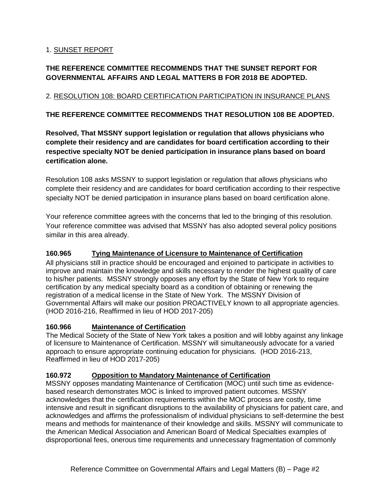### 1. SUNSET REPORT

# **THE REFERENCE COMMITTEE RECOMMENDS THAT THE SUNSET REPORT FOR GOVERNMENTAL AFFAIRS AND LEGAL MATTERS B FOR 2018 BE ADOPTED.**

### 2. RESOLUTION 108: BOARD CERTIFICATION PARTICIPATION IN INSURANCE PLANS

### **THE REFERENCE COMMITTEE RECOMMENDS THAT RESOLUTION 108 BE ADOPTED.**

**Resolved, That MSSNY support legislation or regulation that allows physicians who complete their residency and are candidates for board certification according to their respective specialty NOT be denied participation in insurance plans based on board certification alone.**

Resolution 108 asks MSSNY to support legislation or regulation that allows physicians who complete their residency and are candidates for board certification according to their respective specialty NOT be denied participation in insurance plans based on board certification alone.

Your reference committee agrees with the concerns that led to the bringing of this resolution. Your reference committee was advised that MSSNY has also adopted several policy positions similar in this area already.

### **160.965 Tying Maintenance of Licensure to Maintenance of Certification**

All physicians still in practice should be encouraged and enjoined to participate in activities to improve and maintain the knowledge and skills necessary to render the highest quality of care to his/her patients. MSSNY strongly opposes any effort by the State of New York to require certification by any medical specialty board as a condition of obtaining or renewing the registration of a medical license in the State of New York. The MSSNY Division of Governmental Affairs will make our position PROACTIVELY known to all appropriate agencies. (HOD 2016-216, Reaffirmed in lieu of HOD 2017-205)

### **160.966 Maintenance of Certification**

The Medical Society of the State of New York takes a position and will lobby against any linkage of licensure to Maintenance of Certification. MSSNY will simultaneously advocate for a varied approach to ensure appropriate continuing education for physicians. (HOD 2016-213, Reaffirmed in lieu of HOD 2017-205)

### **160.972 Opposition to Mandatory Maintenance of Certification**

MSSNY opposes mandating Maintenance of Certification (MOC) until such time as evidencebased research demonstrates MOC is linked to improved patient outcomes. MSSNY acknowledges that the certification requirements within the MOC process are costly, time intensive and result in significant disruptions to the availability of physicians for patient care, and acknowledges and affirms the professionalism of individual physicians to self-determine the best means and methods for maintenance of their knowledge and skills. MSSNY will communicate to the American Medical Association and American Board of Medical Specialties examples of disproportional fees, onerous time requirements and unnecessary fragmentation of commonly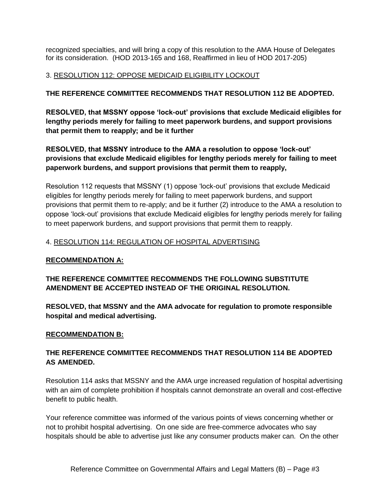recognized specialties, and will bring a copy of this resolution to the AMA House of Delegates for its consideration. (HOD 2013-165 and 168, Reaffirmed in lieu of HOD 2017-205)

### 3. RESOLUTION 112: OPPOSE MEDICAID ELIGIBILITY LOCKOUT

### **THE REFERENCE COMMITTEE RECOMMENDS THAT RESOLUTION 112 BE ADOPTED.**

**RESOLVED, that MSSNY oppose 'lock-out' provisions that exclude Medicaid eligibles for lengthy periods merely for failing to meet paperwork burdens, and support provisions that permit them to reapply; and be it further**

## **RESOLVED, that MSSNY introduce to the AMA a resolution to oppose 'lock-out' provisions that exclude Medicaid eligibles for lengthy periods merely for failing to meet paperwork burdens, and support provisions that permit them to reapply,**

Resolution 112 requests that MSSNY (1) oppose 'lock-out' provisions that exclude Medicaid eligibles for lengthy periods merely for failing to meet paperwork burdens, and support provisions that permit them to re-apply; and be it further (2) introduce to the AMA a resolution to oppose 'lock-out' provisions that exclude Medicaid eligibles for lengthy periods merely for failing to meet paperwork burdens, and support provisions that permit them to reapply.

### 4. RESOLUTION 114: REGULATION OF HOSPITAL ADVERTISING

### **RECOMMENDATION A:**

## **THE REFERENCE COMMITTEE RECOMMENDS THE FOLLOWING SUBSTITUTE AMENDMENT BE ACCEPTED INSTEAD OF THE ORIGINAL RESOLUTION.**

**RESOLVED, that MSSNY and the AMA advocate for regulation to promote responsible hospital and medical advertising.**

### **RECOMMENDATION B:**

### **THE REFERENCE COMMITTEE RECOMMENDS THAT RESOLUTION 114 BE ADOPTED AS AMENDED.**

Resolution 114 asks that MSSNY and the AMA urge increased regulation of hospital advertising with an aim of complete prohibition if hospitals cannot demonstrate an overall and cost-effective benefit to public health.

Your reference committee was informed of the various points of views concerning whether or not to prohibit hospital advertising. On one side are free-commerce advocates who say hospitals should be able to advertise just like any consumer products maker can. On the other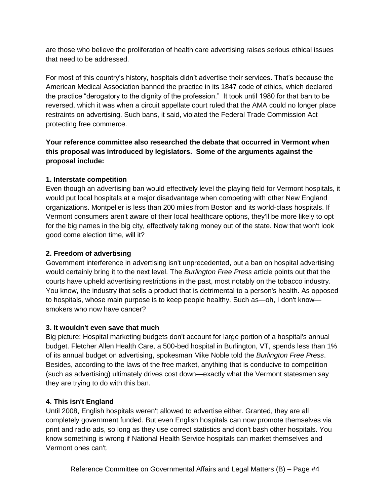are those who believe the proliferation of health care advertising raises serious ethical issues that need to be addressed.

For most of this country's history, hospitals didn't advertise their services. That's because the American Medical Association banned the practice in its 1847 code of ethics, which declared the practice "derogatory to the dignity of the profession." It took until 1980 for that ban to be reversed, which it was when a circuit appellate court ruled that the AMA could no longer place restraints on advertising. Such bans, it said, violated the Federal Trade Commission Act protecting free commerce.

# **Your reference committee also researched the debate that occurred in Vermont when this proposal was introduced by legislators. Some of the arguments against the proposal include:**

### **1. Interstate competition**

Even though an advertising ban would effectively level the playing field for Vermont hospitals, it would put local hospitals at a major disadvantage when competing with other New England organizations. Montpelier is less than 200 miles from Boston and its world-class hospitals. If Vermont consumers aren't aware of their local healthcare options, they'll be more likely to opt for the big names in the big city, effectively taking money out of the state. Now that won't look good come election time, will it?

### **2. Freedom of advertising**

Government interference in advertising isn't unprecedented, but a ban on hospital advertising would certainly bring it to the next level. The *Burlington Free Press* article points out that the courts have upheld advertising restrictions in the past, most notably on the tobacco industry. You know, the industry that sells a product that is detrimental to a person's health. As opposed to hospitals, whose main purpose is to keep people healthy. Such as—oh, I don't know smokers who now have cancer?

### **3. It wouldn't even save that much**

Big picture: Hospital marketing budgets don't account for large portion of a hospital's annual budget. Fletcher Allen Health Care, a 500-bed hospital in Burlington, VT, spends less than 1% of its annual budget on advertising, spokesman Mike Noble told the *Burlington Free Press*. Besides, according to the laws of the free market, anything that is conducive to competition (such as advertising) ultimately drives cost down—exactly what the Vermont statesmen say they are trying to do with this ban.

### **4. This isn't England**

Until 2008, English hospitals weren't allowed to advertise either. Granted, they are all completely government funded. But even English hospitals can now promote themselves via print and radio ads, so long as they use correct statistics and don't bash other hospitals. You know something is wrong if National Health Service hospitals can market themselves and Vermont ones can't.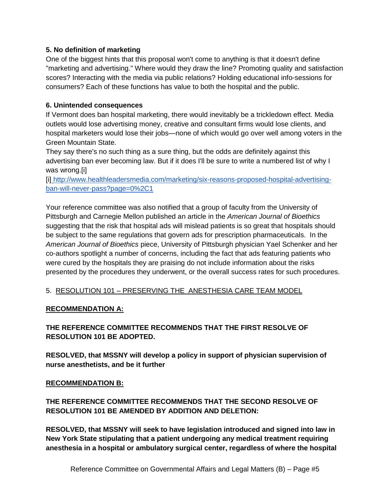### **5. No definition of marketing**

One of the biggest hints that this proposal won't come to anything is that it doesn't define "marketing and advertising." Where would they draw the line? Promoting quality and satisfaction scores? Interacting with the media via public relations? Holding educational info-sessions for consumers? Each of these functions has value to both the hospital and the public.

### **6. Unintended consequences**

If Vermont does ban hospital marketing, there would inevitably be a trickledown effect. Media outlets would lose advertising money, creative and consultant firms would lose clients, and hospital marketers would lose their jobs—none of which would go over well among voters in the Green Mountain State.

They say there's no such thing as a sure thing, but the odds are definitely against this advertising ban ever becoming law. But if it does I'll be sure to write a numbered list of why I was wrong.[i]

[i[\]](http://www.healthleadersmedia.com/marketing/six-reasons-proposed-hospital-advertising-ban-will-never-pass?page=0%2C1) [http://www.healthleadersmedia.com/marketing/six-reasons-proposed-hospital-advertising](http://www.healthleadersmedia.com/marketing/six-reasons-proposed-hospital-advertising-ban-will-never-pass?page=0%2C1)[ban-will-never-pass?page=0%2C1](http://www.healthleadersmedia.com/marketing/six-reasons-proposed-hospital-advertising-ban-will-never-pass?page=0%2C1)

Your reference committee was also notified that a group of faculty from the University of Pittsburgh and Carnegie Mellon published an article in the *American Journal of Bioethics*  suggesting that the risk that hospital ads will mislead patients is so great that hospitals should be subject to the same regulations that govern ads for prescription pharmaceuticals. In the *American Journal of Bioethics* piece, University of Pittsburgh physician Yael Schenker and her co-authors spotlight a number of concerns, including the fact that ads featuring patients who were cured by the hospitals they are praising do not include information about the risks presented by the procedures they underwent, or the overall success rates for such procedures.

### 5. RESOLUTION 101 – PRESERVING THE ANESTHESIA CARE TEAM MODEL

### **RECOMMENDATION A:**

## **THE REFERENCE COMMITTEE RECOMMENDS THAT THE FIRST RESOLVE OF RESOLUTION 101 BE ADOPTED.**

**RESOLVED, that MSSNY will develop a policy in support of physician supervision of nurse anesthetists, and be it further**

### **RECOMMENDATION B:**

## **THE REFERENCE COMMITTEE RECOMMENDS THAT THE SECOND RESOLVE OF RESOLUTION 101 BE AMENDED BY ADDITION AND DELETION:**

**RESOLVED, that MSSNY will seek to have legislation introduced and signed into law in New York State stipulating that a patient undergoing any medical treatment requiring anesthesia in a hospital or ambulatory surgical center, regardless of where the hospital**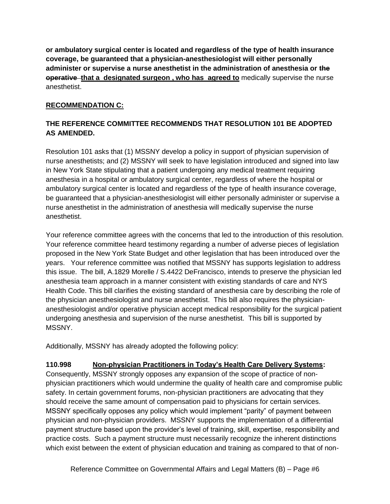**or ambulatory surgical center is located and regardless of the type of health insurance coverage, be guaranteed that a physician-anesthesiologist will either personally administer or supervise a nurse anesthetist in the administration of anesthesia or the operative that a designated surgeon , who has agreed to** medically supervise the nurse anesthetist.

## **RECOMMENDATION C:**

# **THE REFERENCE COMMITTEE RECOMMENDS THAT RESOLUTION 101 BE ADOPTED AS AMENDED.**

Resolution 101 asks that (1) MSSNY develop a policy in support of physician supervision of nurse anesthetists; and (2) MSSNY will seek to have legislation introduced and signed into law in New York State stipulating that a patient undergoing any medical treatment requiring anesthesia in a hospital or ambulatory surgical center, regardless of where the hospital or ambulatory surgical center is located and regardless of the type of health insurance coverage, be guaranteed that a physician-anesthesiologist will either personally administer or supervise a nurse anesthetist in the administration of anesthesia will medically supervise the nurse anesthetist.

Your reference committee agrees with the concerns that led to the introduction of this resolution. Your reference committee heard testimony regarding a number of adverse pieces of legislation proposed in the New York State Budget and other legislation that has been introduced over the years. Your reference committee was notified that MSSNY has supports legislation to address this issue. The bill, A.1829 Morelle / S.4422 DeFrancisco, intends to preserve the physician led anesthesia team approach in a manner consistent with existing standards of care and NYS Health Code. This bill clarifies the existing standard of anesthesia care by describing the role of the physician anesthesiologist and nurse anesthetist. This bill also requires the physiciananesthesiologist and/or operative physician accept medical responsibility for the surgical patient undergoing anesthesia and supervision of the nurse anesthetist. This bill is supported by MSSNY.

Additionally, MSSNY has already adopted the following policy:

# **110.998 Non-physician Practitioners in Today's Health Care Delivery Systems:**

Consequently, MSSNY strongly opposes any expansion of the scope of practice of nonphysician practitioners which would undermine the quality of health care and compromise public safety. In certain government forums, non-physician practitioners are advocating that they should receive the same amount of compensation paid to physicians for certain services. MSSNY specifically opposes any policy which would implement "parity" of payment between physician and non-physician providers. MSSNY supports the implementation of a differential payment structure based upon the provider's level of training, skill, expertise, responsibility and practice costs. Such a payment structure must necessarily recognize the inherent distinctions which exist between the extent of physician education and training as compared to that of non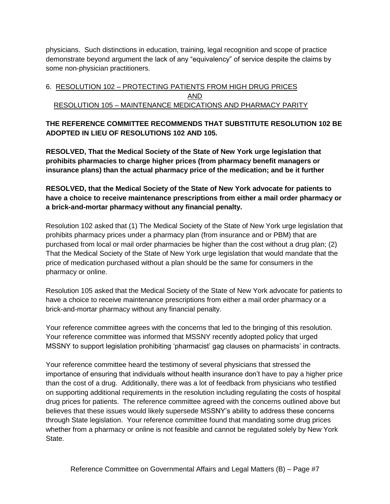physicians. Such distinctions in education, training, legal recognition and scope of practice demonstrate beyond argument the lack of any "equivalency" of service despite the claims by some non-physician practitioners.

### 6. RESOLUTION 102 – PROTECTING PATIENTS FROM HIGH DRUG PRICES AND RESOLUTION 105 – MAINTENANCE MEDICATIONS AND PHARMACY PARITY

### **THE REFERENCE COMMITTEE RECOMMENDS THAT SUBSTITUTE RESOLUTION 102 BE ADOPTED IN LIEU OF RESOLUTIONS 102 AND 105***.*

**RESOLVED, That the Medical Society of the State of New York urge legislation that prohibits pharmacies to charge higher prices (from pharmacy benefit managers or insurance plans) than the actual pharmacy price of the medication; and be it further**

## **RESOLVED, that the Medical Society of the State of New York advocate for patients to have a choice to receive maintenance prescriptions from either a mail order pharmacy or a brick-and-mortar pharmacy without any financial penalty.**

Resolution 102 asked that (1) The Medical Society of the State of New York urge legislation that prohibits pharmacy prices under a pharmacy plan (from insurance and or PBM) that are purchased from local or mail order pharmacies be higher than the cost without a drug plan; (2) That the Medical Society of the State of New York urge legislation that would mandate that the price of medication purchased without a plan should be the same for consumers in the pharmacy or online.

Resolution 105 asked that the Medical Society of the State of New York advocate for patients to have a choice to receive maintenance prescriptions from either a mail order pharmacy or a brick-and-mortar pharmacy without any financial penalty.

Your reference committee agrees with the concerns that led to the bringing of this resolution. Your reference committee was informed that MSSNY recently adopted policy that urged MSSNY to support legislation prohibiting 'pharmacist' gag clauses on pharmacists' in contracts.

Your reference committee heard the testimony of several physicians that stressed the importance of ensuring that individuals without health insurance don't have to pay a higher price than the cost of a drug. Additionally, there was a lot of feedback from physicians who testified on supporting additional requirements in the resolution including regulating the costs of hospital drug prices for patients. The reference committee agreed with the concerns outlined above but believes that these issues would likely supersede MSSNY's ability to address these concerns through State legislation. Your reference committee found that mandating some drug prices whether from a pharmacy or online is not feasible and cannot be regulated solely by New York State.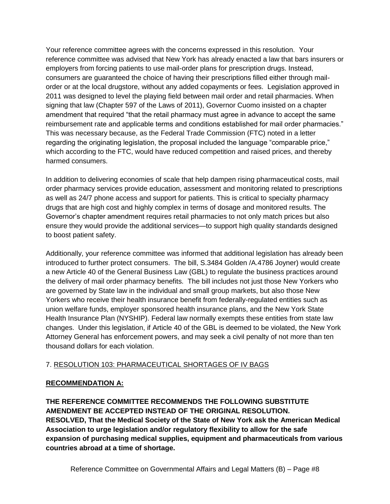Your reference committee agrees with the concerns expressed in this resolution. Your reference committee was advised that New York has already enacted a law that bars insurers or employers from forcing patients to use mail-order plans for prescription drugs. Instead, consumers are guaranteed the choice of having their prescriptions filled either through mailorder or at the local drugstore, without any added copayments or fees. Legislation approved in 2011 was designed to level the playing field between mail order and retail pharmacies. When signing that law (Chapter 597 of the Laws of 2011), Governor Cuomo insisted on a chapter amendment that required "that the retail pharmacy must agree in advance to accept the same reimbursement rate and applicable terms and conditions established for mail order pharmacies." This was necessary because, as the Federal Trade Commission (FTC) noted in a letter regarding the originating legislation, the proposal included the language "comparable price," which according to the FTC, would have reduced competition and raised prices, and thereby harmed consumers.

In addition to delivering economies of scale that help dampen rising pharmaceutical costs, mail order pharmacy services provide education, assessment and monitoring related to prescriptions as well as 24/7 phone access and support for patients. This is critical to specialty pharmacy drugs that are high cost and highly complex in terms of dosage and monitored results. The Governor's chapter amendment requires retail pharmacies to not only match prices but also ensure they would provide the additional services—to support high quality standards designed to boost patient safety.

Additionally, your reference committee was informed that additional legislation has already been introduced to further protect consumers. The bill, S.3484 Golden /A.4786 Joyner) would create a new Article 40 of the General Business Law (GBL) to regulate the business practices around the delivery of mail order pharmacy benefits. The bill includes not just those New Yorkers who are governed by State law in the individual and small group markets, but also those New Yorkers who receive their health insurance benefit from federally-regulated entities such as union welfare funds, employer sponsored health insurance plans, and the New York State Health Insurance Plan (NYSHIP). Federal law normally exempts these entities from state law changes. Under this legislation, if Article 40 of the GBL is deemed to be violated, the New York Attorney General has enforcement powers, and may seek a civil penalty of not more than ten thousand dollars for each violation.

### 7. RESOLUTION 103: PHARMACEUTICAL SHORTAGES OF IV BAGS

# **RECOMMENDATION A:**

**THE REFERENCE COMMITTEE RECOMMENDS THE FOLLOWING SUBSTITUTE AMENDMENT BE ACCEPTED INSTEAD OF THE ORIGINAL RESOLUTION. RESOLVED, That the Medical Society of the State of New York ask the American Medical Association to urge legislation and/or regulatory flexibility to allow for the safe expansion of purchasing medical supplies, equipment and pharmaceuticals from various countries abroad at a time of shortage.**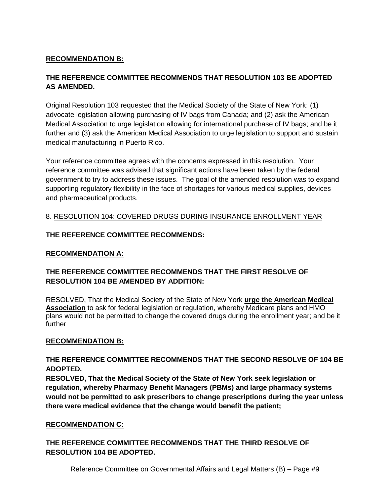### **RECOMMENDATION B:**

## **THE REFERENCE COMMITTEE RECOMMENDS THAT RESOLUTION 103 BE ADOPTED AS AMENDED.**

Original Resolution 103 requested that the Medical Society of the State of New York: (1) advocate legislation allowing purchasing of IV bags from Canada; and (2) ask the American Medical Association to urge legislation allowing for international purchase of IV bags; and be it further and (3) ask the American Medical Association to urge legislation to support and sustain medical manufacturing in Puerto Rico.

Your reference committee agrees with the concerns expressed in this resolution. Your reference committee was advised that significant actions have been taken by the federal government to try to address these issues. The goal of the amended resolution was to expand supporting regulatory flexibility in the face of shortages for various medical supplies, devices and pharmaceutical products.

### 8. RESOLUTION 104: COVERED DRUGS DURING INSURANCE ENROLLMENT YEAR

### **THE REFERENCE COMMITTEE RECOMMENDS:**

### **RECOMMENDATION A:**

### **THE REFERENCE COMMITTEE RECOMMENDS THAT THE FIRST RESOLVE OF RESOLUTION 104 BE AMENDED BY ADDITION:**

RESOLVED, That the Medical Society of the State of New York **urge the American Medical Association** to ask for federal legislation or regulation, whereby Medicare plans and HMO plans would not be permitted to change the covered drugs during the enrollment year; and be it further

### **RECOMMENDATION B:**

### **THE REFERENCE COMMITTEE RECOMMENDS THAT THE SECOND RESOLVE OF 104 BE ADOPTED.**

**RESOLVED, That the Medical Society of the State of New York seek legislation or regulation, whereby Pharmacy Benefit Managers (PBMs) and large pharmacy systems would not be permitted to ask prescribers to change prescriptions during the year unless there were medical evidence that the change would benefit the patient;** 

### **RECOMMENDATION C:**

**THE REFERENCE COMMITTEE RECOMMENDS THAT THE THIRD RESOLVE OF RESOLUTION 104 BE ADOPTED.**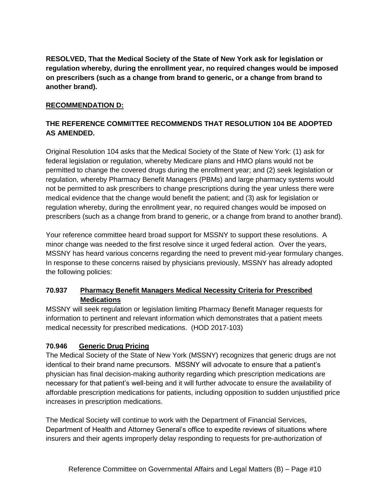**RESOLVED, That the Medical Society of the State of New York ask for legislation or regulation whereby, during the enrollment year, no required changes would be imposed on prescribers (such as a change from brand to generic, or a change from brand to another brand).**

### **RECOMMENDATION D:**

# **THE REFERENCE COMMITTEE RECOMMENDS THAT RESOLUTION 104 BE ADOPTED AS AMENDED.**

Original Resolution 104 asks that the Medical Society of the State of New York: (1) ask for federal legislation or regulation, whereby Medicare plans and HMO plans would not be permitted to change the covered drugs during the enrollment year; and (2) seek legislation or regulation, whereby Pharmacy Benefit Managers (PBMs) and large pharmacy systems would not be permitted to ask prescribers to change prescriptions during the year unless there were medical evidence that the change would benefit the patient; and (3) ask for legislation or regulation whereby, during the enrollment year, no required changes would be imposed on prescribers (such as a change from brand to generic, or a change from brand to another brand).

Your reference committee heard broad support for MSSNY to support these resolutions. A minor change was needed to the first resolve since it urged federal action. Over the years, MSSNY has heard various concerns regarding the need to prevent mid-year formulary changes. In response to these concerns raised by physicians previously, MSSNY has already adopted the following policies:

# **70.937 Pharmacy Benefit Managers Medical Necessity Criteria for Prescribed Medications**

MSSNY will seek regulation or legislation limiting Pharmacy Benefit Manager requests for information to pertinent and relevant information which demonstrates that a patient meets medical necessity for prescribed medications. (HOD 2017-103)

# **70.946 Generic Drug Pricing**

The Medical Society of the State of New York (MSSNY) recognizes that generic drugs are not identical to their brand name precursors. MSSNY will advocate to ensure that a patient's physician has final decision-making authority regarding which prescription medications are necessary for that patient's well-being and it will further advocate to ensure the availability of affordable prescription medications for patients, including opposition to sudden unjustified price increases in prescription medications.

The Medical Society will continue to work with the Department of Financial Services, Department of Health and Attorney General's office to expedite reviews of situations where insurers and their agents improperly delay responding to requests for pre-authorization of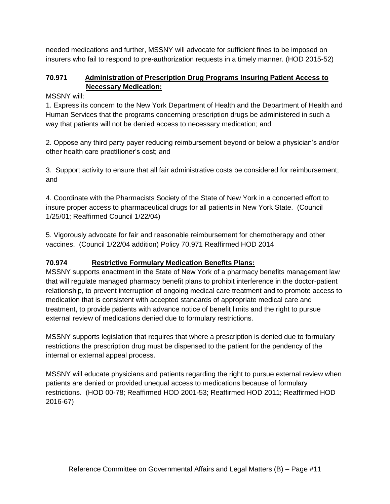needed medications and further, MSSNY will advocate for sufficient fines to be imposed on insurers who fail to respond to pre-authorization requests in a timely manner. (HOD 2015-52)

## **70.971 Administration of Prescription Drug Programs Insuring Patient Access to Necessary Medication:**

MSSNY will:

1. Express its concern to the New York Department of Health and the Department of Health and Human Services that the programs concerning prescription drugs be administered in such a way that patients will not be denied access to necessary medication; and

2. Oppose any third party payer reducing reimbursement beyond or below a physician's and/or other health care practitioner's cost; and

3. Support activity to ensure that all fair administrative costs be considered for reimbursement; and

4. Coordinate with the Pharmacists Society of the State of New York in a concerted effort to insure proper access to pharmaceutical drugs for all patients in New York State. (Council 1/25/01; Reaffirmed Council 1/22/04)

5. Vigorously advocate for fair and reasonable reimbursement for chemotherapy and other vaccines. (Council 1/22/04 addition) Policy 70.971 Reaffirmed HOD 2014

# **70.974 Restrictive Formulary Medication Benefits Plans:**

MSSNY supports enactment in the State of New York of a pharmacy benefits management law that will regulate managed pharmacy benefit plans to prohibit interference in the doctor-patient relationship, to prevent interruption of ongoing medical care treatment and to promote access to medication that is consistent with accepted standards of appropriate medical care and treatment, to provide patients with advance notice of benefit limits and the right to pursue external review of medications denied due to formulary restrictions.

MSSNY supports legislation that requires that where a prescription is denied due to formulary restrictions the prescription drug must be dispensed to the patient for the pendency of the internal or external appeal process.

MSSNY will educate physicians and patients regarding the right to pursue external review when patients are denied or provided unequal access to medications because of formulary restrictions. (HOD 00-78; Reaffirmed HOD 2001-53; Reaffirmed HOD 2011; Reaffirmed HOD 2016-67)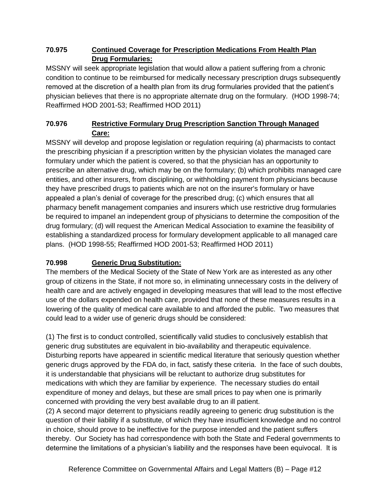# **70.975 Continued Coverage for Prescription Medications From Health Plan Drug Formularies:**

MSSNY will seek appropriate legislation that would allow a patient suffering from a chronic condition to continue to be reimbursed for medically necessary prescription drugs subsequently removed at the discretion of a health plan from its drug formularies provided that the patient's physician believes that there is no appropriate alternate drug on the formulary. (HOD 1998-74; Reaffirmed HOD 2001-53; Reaffirmed HOD 2011)

# **70.976 Restrictive Formulary Drug Prescription Sanction Through Managed Care:**

MSSNY will develop and propose legislation or regulation requiring (a) pharmacists to contact the prescribing physician if a prescription written by the physician violates the managed care formulary under which the patient is covered, so that the physician has an opportunity to prescribe an alternative drug, which may be on the formulary; (b) which prohibits managed care entities, and other insurers, from disciplining, or withholding payment from physicians because they have prescribed drugs to patients which are not on the insurer's formulary or have appealed a plan's denial of coverage for the prescribed drug; (c) which ensures that all pharmacy benefit management companies and insurers which use restrictive drug formularies be required to impanel an independent group of physicians to determine the composition of the drug formulary; (d) will request the American Medical Association to examine the feasibility of establishing a standardized process for formulary development applicable to all managed care plans. (HOD 1998-55; Reaffirmed HOD 2001-53; Reaffirmed HOD 2011)

# **70.998 Generic Drug Substitution:**

The members of the Medical Society of the State of New York are as interested as any other group of citizens in the State, if not more so, in eliminating unnecessary costs in the delivery of health care and are actively engaged in developing measures that will lead to the most effective use of the dollars expended on health care, provided that none of these measures results in a lowering of the quality of medical care available to and afforded the public. Two measures that could lead to a wider use of generic drugs should be considered:

(1) The first is to conduct controlled, scientifically valid studies to conclusively establish that generic drug substitutes are equivalent in bio-availability and therapeutic equivalence. Disturbing reports have appeared in scientific medical literature that seriously question whether generic drugs approved by the FDA do, in fact, satisfy these criteria. In the face of such doubts, it is understandable that physicians will be reluctant to authorize drug substitutes for medications with which they are familiar by experience. The necessary studies do entail expenditure of money and delays, but these are small prices to pay when one is primarily concerned with providing the very best available drug to an ill patient.

(2) A second major deterrent to physicians readily agreeing to generic drug substitution is the question of their liability if a substitute, of which they have insufficient knowledge and no control in choice, should prove to be ineffective for the purpose intended and the patient suffers thereby. Our Society has had correspondence with both the State and Federal governments to determine the limitations of a physician's liability and the responses have been equivocal. It is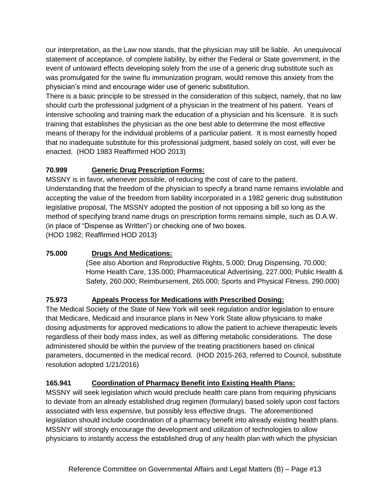our interpretation, as the Law now stands, that the physician may still be liable. An unequivocal statement of acceptance, of complete liability, by either the Federal or State government, in the event of untoward effects developing solely from the use of a generic drug substitute such as was promulgated for the swine flu immunization program, would remove this anxiety from the physician's mind and encourage wider use of generic substitution.

There is a basic principle to be stressed in the consideration of this subject, namely, that no law should curb the professional judgment of a physician in the treatment of his patient. Years of intensive schooling and training mark the education of a physician and his licensure. It is such training that establishes the physician as the one best able to determine the most effective means of therapy for the individual problems of a particular patient. It is most earnestly hoped that no inadequate substitute for this professional judgment, based solely on cost, will ever be enacted. (HOD 1983 Reaffirmed HOD 2013)

# **70.999 Generic Drug Prescription Forms:**

MSSNY is in favor, whenever possible, of reducing the cost of care to the patient. Understanding that the freedom of the physician to specify a brand name remains inviolable and accepting the value of the freedom from liability incorporated in a 1982 generic drug substitution legislative proposal, The MSSNY adopted the position of not opposing a bill so long as the method of specifying brand name drugs on prescription forms remains simple, such as D.A.W. (in place of "Dispense as Written") or checking one of two boxes. (HOD 1982; Reaffirmed HOD 2013)

# **75.000 Drugs And Medications:**

(See also Abortion and Reproductive Rights, 5.000; Drug Dispensing, 70.000; Home Health Care, 135.000; Pharmaceutical Advertising, 227.000; Public Health & Safety, 260.000; Reimbursement, 265.000; Sports and Physical Fitness, 290.000)

# **75.973 Appeals Process for Medications with Prescribed Dosing:**

The Medical Society of the State of New York will seek regulation and/or legislation to ensure that Medicare, Medicaid and insurance plans in New York State allow physicians to make dosing adjustments for approved medications to allow the patient to achieve therapeutic levels regardless of their body mass index, as well as differing metabolic considerations. The dose administered should be within the purview of the treating practitioners based on clinical parameters, documented in the medical record. (HOD 2015-263, referred to Council, substitute resolution adopted 1/21/2016)

# **165.941 Coordination of Pharmacy Benefit into Existing Health Plans:**

MSSNY will seek legislation which would preclude health care plans from requiring physicians to deviate from an already established drug regimen (formulary) based solely upon cost factors associated with less expensive, but possibly less effective drugs. The aforementioned legislation should include coordination of a pharmacy benefit into already existing health plans. MSSNY will strongly encourage the development and utilization of technologies to allow physicians to instantly access the established drug of any health plan with which the physician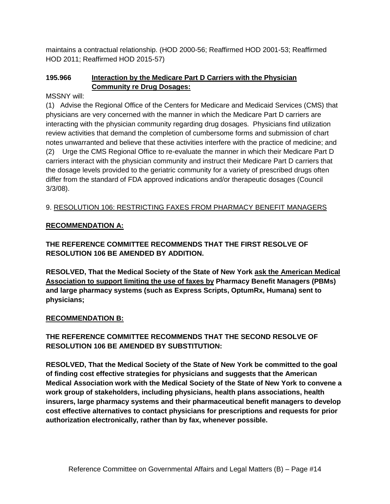maintains a contractual relationship. (HOD 2000-56; Reaffirmed HOD 2001-53; Reaffirmed HOD 2011; Reaffirmed HOD 2015-57)

## **195.966 Interaction by the Medicare Part D Carriers with the Physician Community re Drug Dosages:**

MSSNY will:

(1) Advise the Regional Office of the Centers for Medicare and Medicaid Services (CMS) that physicians are very concerned with the manner in which the Medicare Part D carriers are interacting with the physician community regarding drug dosages. Physicians find utilization review activities that demand the completion of cumbersome forms and submission of chart notes unwarranted and believe that these activities interfere with the practice of medicine; and (2) Urge the CMS Regional Office to re-evaluate the manner in which their Medicare Part D carriers interact with the physician community and instruct their Medicare Part D carriers that the dosage levels provided to the geriatric community for a variety of prescribed drugs often differ from the standard of FDA approved indications and/or therapeutic dosages (Council 3/3/08).

# 9. RESOLUTION 106: RESTRICTING FAXES FROM PHARMACY BENEFIT MANAGERS

# **RECOMMENDATION A:**

# **THE REFERENCE COMMITTEE RECOMMENDS THAT THE FIRST RESOLVE OF RESOLUTION 106 BE AMENDED BY ADDITION.**

**RESOLVED, That the Medical Society of the State of New York ask the American Medical Association to support limiting the use of faxes by Pharmacy Benefit Managers (PBMs) and large pharmacy systems (such as Express Scripts, OptumRx, Humana) sent to physicians;**

# **RECOMMENDATION B:**

# **THE REFERENCE COMMITTEE RECOMMENDS THAT THE SECOND RESOLVE OF RESOLUTION 106 BE AMENDED BY SUBSTITUTION:**

**RESOLVED, That the Medical Society of the State of New York be committed to the goal of finding cost effective strategies for physicians and suggests that the American Medical Association work with the Medical Society of the State of New York to convene a work group of stakeholders, including physicians, health plans associations, health insurers, large pharmacy systems and their pharmaceutical benefit managers to develop cost effective alternatives to contact physicians for prescriptions and requests for prior authorization electronically, rather than by fax, whenever possible.**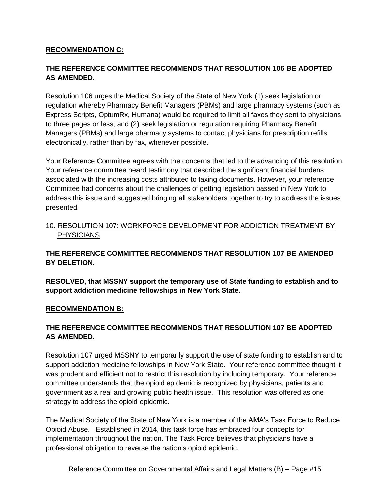### **RECOMMENDATION C:**

# **THE REFERENCE COMMITTEE RECOMMENDS THAT RESOLUTION 106 BE ADOPTED AS AMENDED.**

Resolution 106 urges the Medical Society of the State of New York (1) seek legislation or regulation whereby Pharmacy Benefit Managers (PBMs) and large pharmacy systems (such as Express Scripts, OptumRx, Humana) would be required to limit all faxes they sent to physicians to three pages or less; and (2) seek legislation or regulation requiring Pharmacy Benefit Managers (PBMs) and large pharmacy systems to contact physicians for prescription refills electronically, rather than by fax, whenever possible.

Your Reference Committee agrees with the concerns that led to the advancing of this resolution. Your reference committee heard testimony that described the significant financial burdens associated with the increasing costs attributed to faxing documents. However, your reference Committee had concerns about the challenges of getting legislation passed in New York to address this issue and suggested bringing all stakeholders together to try to address the issues presented.

### 10. RESOLUTION 107: WORKFORCE DEVELOPMENT FOR ADDICTION TREATMENT BY PHYSICIANS

# **THE REFERENCE COMMITTEE RECOMMENDS THAT RESOLUTION 107 BE AMENDED BY DELETION.**

**RESOLVED, that MSSNY support the temporary use of State funding to establish and to support addiction medicine fellowships in New York State.**

### **RECOMMENDATION B:**

## **THE REFERENCE COMMITTEE RECOMMENDS THAT RESOLUTION 107 BE ADOPTED AS AMENDED.**

Resolution 107 urged MSSNY to temporarily support the use of state funding to establish and to support addiction medicine fellowships in New York State. Your reference committee thought it was prudent and efficient not to restrict this resolution by including temporary. Your reference committee understands that the opioid epidemic is recognized by physicians, patients and government as a real and growing public health issue. This resolution was offered as one strategy to address the opioid epidemic.

The Medical Society of the State of New York is a member of the AMA's Task Force to Reduce Opioid Abuse. Established in 2014, this task force has embraced four concepts for implementation throughout the nation. The Task Force believes that physicians have a professional obligation to reverse the nation's opioid epidemic.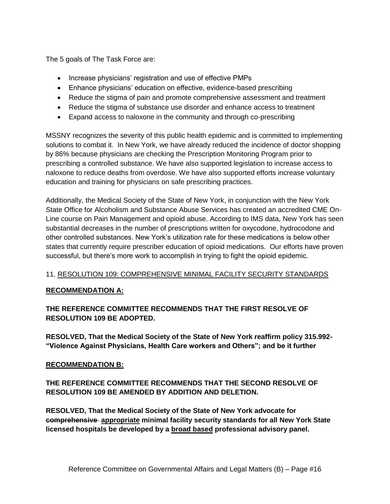The 5 goals of The Task Force are:

- Increase physicians' registration and use of effective PMPs
- Enhance physicians' education on effective, evidence-based prescribing
- Reduce the stigma of pain and promote comprehensive assessment and treatment
- Reduce the stigma of substance use disorder and enhance access to treatment
- Expand access to naloxone in the community and through co-prescribing

MSSNY recognizes the severity of this public health epidemic and is committed to implementing solutions to combat it. In New York, we have already reduced the incidence of doctor shopping by 86% because physicians are checking the Prescription Monitoring Program prior to prescribing a controlled substance. We have also supported legislation to increase access to naloxone to reduce deaths from overdose. We have also supported efforts increase voluntary education and training for physicians on safe prescribing practices.

Additionally, the Medical Society of the State of New York, in conjunction with the New York State Office for Alcoholism and Substance Abuse Services has created an accredited CME On-Line course on Pain Management and opioid abuse. According to IMS data, New York has seen substantial decreases in the number of prescriptions written for oxycodone, hydrocodone and other controlled substances. New York's utilization rate for these medications is below other states that currently require prescriber education of opioid medications. Our efforts have proven successful, but there's more work to accomplish in trying to fight the opioid epidemic.

### 11. RESOLUTION 109: COMPREHENSIVE MINIMAL FACILITY SECURITY STANDARDS

### **RECOMMENDATION A:**

## **THE REFERENCE COMMITTEE RECOMMENDS THAT THE FIRST RESOLVE OF RESOLUTION 109 BE ADOPTED.**

**RESOLVED, That the Medical Society of the State of New York reaffirm policy 315.992- "Violence Against Physicians, Health Care workers and Others"; and be it further**

### **RECOMMENDATION B:**

**THE REFERENCE COMMITTEE RECOMMENDS THAT THE SECOND RESOLVE OF RESOLUTION 109 BE AMENDED BY ADDITION AND DELETION.**

**RESOLVED, That the Medical Society of the State of New York advocate for comprehensive appropriate minimal facility security standards for all New York State licensed hospitals be developed by a broad based professional advisory panel.**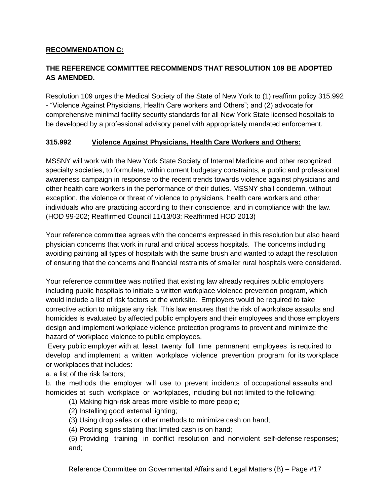### **RECOMMENDATION C:**

# **THE REFERENCE COMMITTEE RECOMMENDS THAT RESOLUTION 109 BE ADOPTED AS AMENDED.**

Resolution 109 urges the Medical Society of the State of New York to (1) reaffirm policy 315.992 - "Violence Against Physicians, Health Care workers and Others"; and (2) advocate for comprehensive minimal facility security standards for all New York State licensed hospitals to be developed by a professional advisory panel with appropriately mandated enforcement.

### **315.992 Violence Against Physicians, Health Care Workers and Others:**

MSSNY will work with the New York State Society of Internal Medicine and other recognized specialty societies, to formulate, within current budgetary constraints, a public and professional awareness campaign in response to the recent trends towards violence against physicians and other health care workers in the performance of their duties. MSSNY shall condemn, without exception, the violence or threat of violence to physicians, health care workers and other individuals who are practicing according to their conscience, and in compliance with the law. (HOD 99-202; Reaffirmed Council 11/13/03; Reaffirmed HOD 2013)

Your reference committee agrees with the concerns expressed in this resolution but also heard physician concerns that work in rural and critical access hospitals. The concerns including avoiding painting all types of hospitals with the same brush and wanted to adapt the resolution of ensuring that the concerns and financial restraints of smaller rural hospitals were considered.

Your reference committee was notified that existing law already requires public employers including public hospitals to initiate a written workplace violence prevention program, which would include a list of risk factors at the worksite. Employers would be required to take corrective action to mitigate any risk. This law ensures that the risk of workplace assaults and homicides is evaluated by affected public employers and their employees and those employers design and implement workplace violence protection programs to prevent and minimize the hazard of workplace violence to public employees.

Every public employer with at least twenty full time permanent employees is required to develop and implement a written workplace violence prevention program for its workplace or workplaces that includes:

a. a list of the risk factors;

b. the methods the employer will use to prevent incidents of occupational assaults and homicides at such workplace or workplaces, including but not limited to the following:

(1) Making high-risk areas more visible to more people;

(2) Installing good external lighting;

(3) Using drop safes or other methods to minimize cash on hand;

(4) Posting signs stating that limited cash is on hand;

(5) Providing training in conflict resolution and nonviolent self-defense responses; and;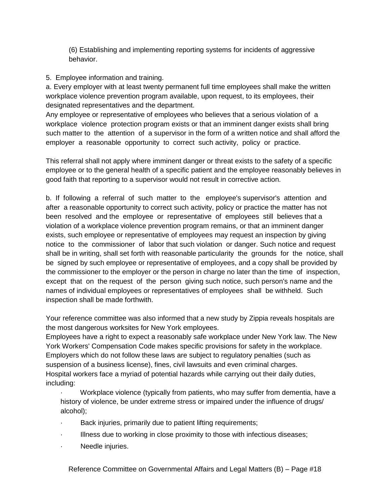(6) Establishing and implementing reporting systems for incidents of aggressive behavior.

### 5. Employee information and training.

a. Every employer with at least twenty permanent full time employees shall make the written workplace violence prevention program available, upon request, to its employees, their designated representatives and the department.

Any employee or representative of employees who believes that a serious violation of a workplace violence protection program exists or that an imminent danger exists shall bring such matter to the attention of a supervisor in the form of a written notice and shall afford the employer a reasonable opportunity to correct such activity, policy or practice.

This referral shall not apply where imminent danger or threat exists to the safety of a specific employee or to the general health of a specific patient and the employee reasonably believes in good faith that reporting to a supervisor would not result in corrective action.

b. If following a referral of such matter to the employee's supervisor's attention and after a reasonable opportunity to correct such activity, policy or practice the matter has not been resolved and the employee or representative of employees still believes that a violation of a workplace violence prevention program remains, or that an imminent danger exists, such employee or representative of employees may request an inspection by giving notice to the commissioner of labor that such violation or danger. Such notice and request shall be in writing, shall set forth with reasonable particularity the grounds for the notice, shall be signed by such employee or representative of employees, and a copy shall be provided by the commissioner to the employer or the person in charge no later than the time of inspection, except that on the request of the person giving such notice, such person's name and the names of individual employees or representatives of employees shall be withheld. Such inspection shall be made forthwith.

Your reference committee was also informed that a new study by [Zippia](https://www.zippia.com/advice/dangerous-states-work/) reveals hospitals are the most dangerous worksites for New York employees.

Employees have a right to expect a reasonably safe workplace under New York law. The New York Workers' Compensation Code makes specific provisions for safety in the workplace*.*  Employers which do not follow these laws are subject to regulatory penalties (such as suspension of a business license), fines, civil lawsuits and even criminal charges. Hospital workers face a myriad of potential hazards while carrying out their daily duties, including:

· Workplace violence (typically from patients, who may suffer from dementia, have a history of violence, be under extreme stress or impaired under the influence of drugs/ alcohol);

- Back injuries, primarily due to patient lifting requirements;
- · Illness due to working in close proximity to those with infectious diseases;
- Needle injuries.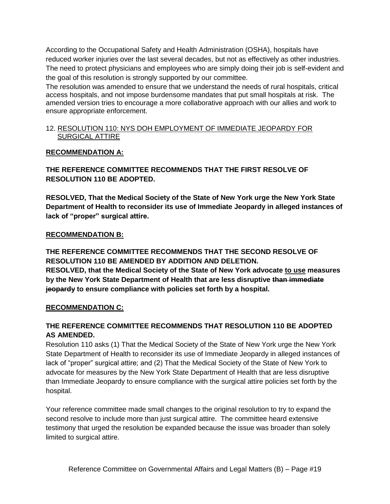According to the Occupational Safety and Health Administration [\(OSHA\)](https://www.osha.gov/dsg/hospitals/documents/1.2_Factbook_508.pdf), hospitals have reduced worker injuries over the last several decades, but not as effectively as other industries. The need to protect physicians and employees who are simply doing their job is self-evident and the goal of this resolution is strongly supported by our committee.

The resolution was amended to ensure that we understand the needs of rural hospitals, critical access hospitals, and not impose burdensome mandates that put small hospitals at risk. The amended version tries to encourage a more collaborative approach with our allies and work to ensure appropriate enforcement.

### 12. RESOLUTION 110: NYS DOH EMPLOYMENT OF IMMEDIATE JEOPARDY FOR SURGICAL ATTIRE

## **RECOMMENDATION A:**

**THE REFERENCE COMMITTEE RECOMMENDS THAT THE FIRST RESOLVE OF RESOLUTION 110 BE ADOPTED.**

**RESOLVED, That the Medical Society of the State of New York urge the New York State Department of Health to reconsider its use of Immediate Jeopardy in alleged instances of lack of "proper" surgical attire.**

## **RECOMMENDATION B:**

**THE REFERENCE COMMITTEE RECOMMENDS THAT THE SECOND RESOLVE OF RESOLUTION 110 BE AMENDED BY ADDITION AND DELETION. RESOLVED, that the Medical Society of the State of New York advocate to use measures by the New York State Department of Health that are less disruptive than immediate jeopardy to ensure compliance with policies set forth by a hospital.**

### **RECOMMENDATION C:**

# **THE REFERENCE COMMITTEE RECOMMENDS THAT RESOLUTION 110 BE ADOPTED AS AMENDED.**

Resolution 110 asks (1) That the Medical Society of the State of New York urge the New York State Department of Health to reconsider its use of Immediate Jeopardy in alleged instances of lack of "proper" surgical attire; and (2) That the Medical Society of the State of New York to advocate for measures by the New York State Department of Health that are less disruptive than Immediate Jeopardy to ensure compliance with the surgical attire policies set forth by the hospital.

Your reference committee made small changes to the original resolution to try to expand the second resolve to include more than just surgical attire. The committee heard extensive testimony that urged the resolution be expanded because the issue was broader than solely limited to surgical attire.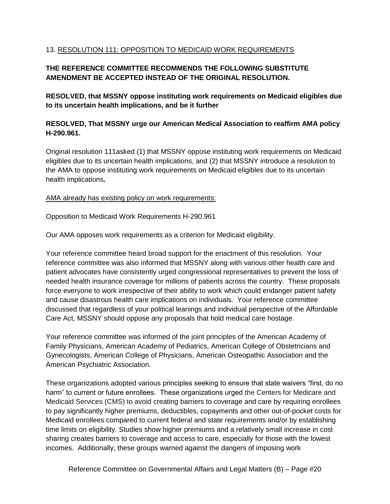### 13. RESOLUTION 111: OPPOSITION TO MEDICAID WORK REQUIREMENTS

# **THE REFERENCE COMMITTEE RECOMMENDS THE FOLLOWING SUBSTITUTE AMENDMENT BE ACCEPTED INSTEAD OF THE ORIGINAL RESOLUTION.**

**RESOLVED, that MSSNY oppose instituting work requirements on Medicaid eligibles due to its uncertain health implications, and be it further**

### **RESOLVED, That MSSNY urge our American Medical Association to reaffirm AMA policy H-290.961.**

Original resolution 111asked (1) that MSSNY oppose instituting work requirements on Medicaid eligibles due to its uncertain health implications, and (2) that MSSNY introduce a resolution to the AMA to oppose instituting work requirements on Medicaid eligibles due to its uncertain health implications**.**

### AMA already has existing policy on work requirements:

Opposition to Medicaid Work Requirements H-290.961

Our AMA opposes work requirements as a criterion for Medicaid eligibility.

Your reference committee heard broad support for the enactment of this resolution. Your reference committee was also informed that MSSNY along with various other health care and patient advocates have consistently urged congressional representatives to prevent the loss of needed health insurance coverage for millions of patients across the country. These proposals force everyone to work irrespective of their ability to work which could endanger patient safety and cause disastrous health care implications on individuals. Your reference committee discussed that regardless of your political leanings and individual perspective of the Affordable Care Act, MSSNY should oppose any proposals that hold medical care hostage.

Your reference committee was informed of the joint principles of the American Academy of Family Physicians, American Academy of Pediatrics, American College of Obstetricians and Gynecologists, American College of Physicians, American Osteopathic Association and the American Psychiatric Association.

These organizations adopted various principles seeking to ensure that state waivers "first, do no harm" to current or future enrollees. These organizations urged the Centers for Medicare and Medicaid Services (CMS) to avoid creating barriers to coverage and care by requiring enrollees to pay significantly higher premiums, deductibles, copayments and other out-of-pocket costs for Medicaid enrollees compared to current federal and state requirements and/or by establishing time limits on eligibility. Studies show higher premiums and a relatively small increase in cost sharing creates barriers to coverage and access to care, especially for those with the lowest incomes. Additionally, these groups warned against the dangers of imposing work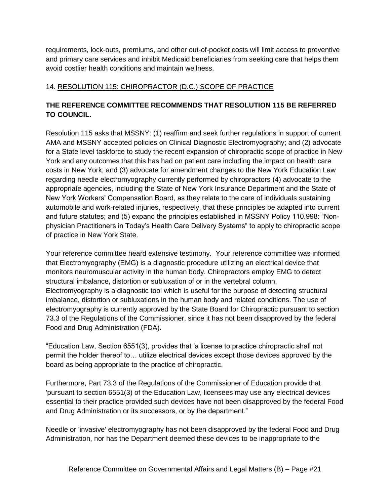requirements, lock-outs, premiums, and other out-of-pocket costs will limit access to preventive and primary care services and inhibit Medicaid beneficiaries from seeking care that helps them avoid costlier health conditions and maintain wellness.

## 14. RESOLUTION 115: CHIROPRACTOR (D.C.) SCOPE OF PRACTICE

### **THE REFERENCE COMMITTEE RECOMMENDS THAT RESOLUTION 115 BE REFERRED TO COUNCIL.**

Resolution 115 asks that MSSNY: (1) reaffirm and seek further regulations in support of current AMA and MSSNY accepted policies on Clinical Diagnostic Electromyography; and (2) advocate for a State level taskforce to study the recent expansion of chiropractic scope of practice in New York and any outcomes that this has had on patient care including the impact on health care costs in New York; and (3) advocate for amendment changes to the New York Education Law regarding needle electromyography currently performed by chiropractors (4) advocate to the appropriate agencies, including the State of New York Insurance Department and the State of New York Workers' Compensation Board, as they relate to the care of individuals sustaining automobile and work-related injuries, respectively, that these principles be adapted into current and future statutes; and (5) expand the principles established in MSSNY Policy 110.998: "Nonphysician Practitioners in Today's Health Care Delivery Systems" to apply to chiropractic scope of practice in New York State.

Your reference committee heard extensive testimony. Your reference committee was informed that Electromyography (EMG) is a diagnostic procedure utilizing an electrical device that monitors neuromuscular activity in the human body. Chiropractors employ EMG to detect structural imbalance, distortion or subluxation of or in the vertebral column. Electromyography is a diagnostic tool which is useful for the purpose of detecting structural imbalance, distortion or subluxations in the human body and related conditions. The use of electromyography is currently approved by the State Board for Chiropractic pursuant to section 73.3 of the Regulations of the Commissioner, since it has not been disapproved by the federal Food and Drug Administration (FDA).

"Education Law, Section 6551(3), provides that 'a license to practice chiropractic shall not permit the holder thereof to… utilize electrical devices except those devices approved by the board as being appropriate to the practice of chiropractic.

Furthermore, Part 73.3 of the Regulations of the Commissioner of Education provide that 'pursuant to section 6551(3) of the Education Law, licensees may use any electrical devices essential to their practice provided such devices have not been disapproved by the federal Food and Drug Administration or its successors, or by the department."

Needle or 'invasive' electromyography has not been disapproved by the federal Food and Drug Administration, nor has the Department deemed these devices to be inappropriate to the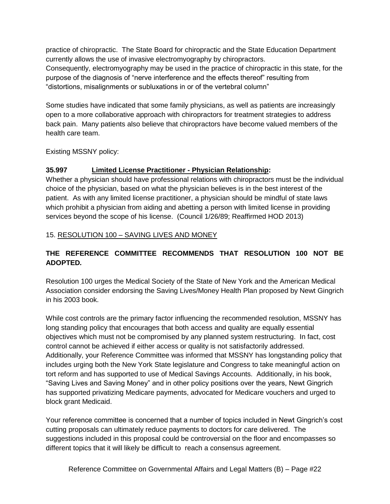practice of chiropractic. The State Board for chiropractic and the State Education Department currently allows the use of invasive electromyography by chiropractors. Consequently, electromyography may be used in the practice of chiropractic in this state, for the purpose of the diagnosis of "nerve interference and the effects thereof" resulting from "distortions, misalignments or subluxations in or of the vertebral column"

Some studies have indicated that some family physicians, as well as patients are increasingly open to a more collaborative approach with chiropractors for treatment strategies to address back pain. Many patients also believe that chiropractors have become valued members of the health care team.

Existing MSSNY policy:

## **35.997 Limited License Practitioner - Physician Relationship:**

Whether a physician should have professional relations with chiropractors must be the individual choice of the physician, based on what the physician believes is in the best interest of the patient. As with any limited license practitioner, a physician should be mindful of state laws which prohibit a physician from aiding and abetting a person with limited license in providing services beyond the scope of his license. (Council 1/26/89; Reaffirmed HOD 2013)

### 15. RESOLUTION 100 – SAVING LIVES AND MONEY

# **THE REFERENCE COMMITTEE RECOMMENDS THAT RESOLUTION 100 NOT BE ADOPTED***.*

Resolution 100 urges the Medical Society of the State of New York and the American Medical Association consider endorsing the Saving Lives/Money Health Plan proposed by Newt Gingrich in his 2003 book.

While cost controls are the primary factor influencing the recommended resolution, MSSNY has long standing policy that encourages that both access and quality are equally essential objectives which must not be compromised by any planned system restructuring. In fact, cost control cannot be achieved if either access or quality is not satisfactorily addressed. Additionally, your Reference Committee was informed that MSSNY has longstanding policy that includes urging both the New York State legislature and Congress to take meaningful action on tort reform and has supported to use of Medical Savings Accounts. Additionally, in his book, "Saving Lives and Saving Money" and in other policy positions over the years, Newt Gingrich has supported privatizing Medicare payments, advocated for Medicare vouchers and urged to block grant Medicaid.

Your reference committee is concerned that a number of topics included in Newt Gingrich's cost cutting proposals can ultimately reduce payments to doctors for care delivered. The suggestions included in this proposal could be controversial on the floor and encompasses so different topics that it will likely be difficult to reach a consensus agreement.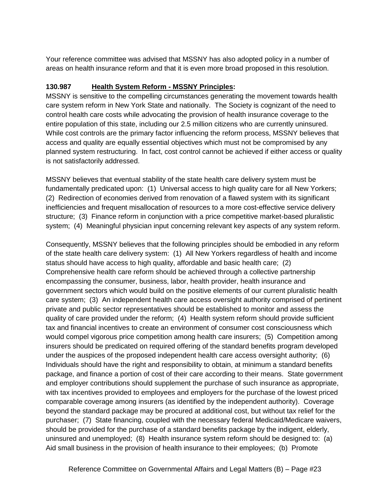Your reference committee was advised that MSSNY has also adopted policy in a number of areas on health insurance reform and that it is even more broad proposed in this resolution.

## **130.987 Health System Reform - MSSNY Principles:**

MSSNY is sensitive to the compelling circumstances generating the movement towards health care system reform in New York State and nationally. The Society is cognizant of the need to control health care costs while advocating the provision of health insurance coverage to the entire population of this state, including our 2.5 million citizens who are currently uninsured. While cost controls are the primary factor influencing the reform process, MSSNY believes that access and quality are equally essential objectives which must not be compromised by any planned system restructuring. In fact, cost control cannot be achieved if either access or quality is not satisfactorily addressed.

MSSNY believes that eventual stability of the state health care delivery system must be fundamentally predicated upon: (1) Universal access to high quality care for all New Yorkers; (2) Redirection of economies derived from renovation of a flawed system with its significant inefficiencies and frequent misallocation of resources to a more cost-effective service delivery structure; (3) Finance reform in conjunction with a price competitive market-based pluralistic system; (4) Meaningful physician input concerning relevant key aspects of any system reform.

Consequently, MSSNY believes that the following principles should be embodied in any reform of the state health care delivery system: (1) All New Yorkers regardless of health and income status should have access to high quality, affordable and basic health care; (2) Comprehensive health care reform should be achieved through a collective partnership encompassing the consumer, business, labor, health provider, health insurance and government sectors which would build on the positive elements of our current pluralistic health care system; (3) An independent health care access oversight authority comprised of pertinent private and public sector representatives should be established to monitor and assess the quality of care provided under the reform; (4) Health system reform should provide sufficient tax and financial incentives to create an environment of consumer cost consciousness which would compel vigorous price competition among health care insurers; (5) Competition among insurers should be predicated on required offering of the standard benefits program developed under the auspices of the proposed independent health care access oversight authority; (6) Individuals should have the right and responsibility to obtain, at minimum a standard benefits package, and finance a portion of cost of their care according to their means. State government and employer contributions should supplement the purchase of such insurance as appropriate, with tax incentives provided to employees and employers for the purchase of the lowest priced comparable coverage among insurers (as identified by the independent authority). Coverage beyond the standard package may be procured at additional cost, but without tax relief for the purchaser; (7) State financing, coupled with the necessary federal Medicaid/Medicare waivers, should be provided for the purchase of a standard benefits package by the indigent, elderly, uninsured and unemployed; (8) Health insurance system reform should be designed to: (a) Aid small business in the provision of health insurance to their employees; (b) Promote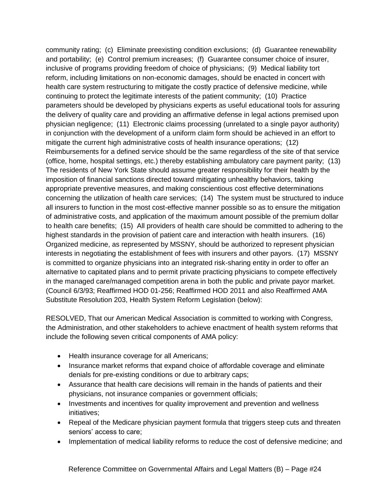community rating; (c) Eliminate preexisting condition exclusions; (d) Guarantee renewability and portability; (e) Control premium increases; (f) Guarantee consumer choice of insurer, inclusive of programs providing freedom of choice of physicians; (9) Medical liability tort reform, including limitations on non-economic damages, should be enacted in concert with health care system restructuring to mitigate the costly practice of defensive medicine, while continuing to protect the legitimate interests of the patient community; (10) Practice parameters should be developed by physicians experts as useful educational tools for assuring the delivery of quality care and providing an affirmative defense in legal actions premised upon physician negligence; (11) Electronic claims processing (unrelated to a single payor authority) in conjunction with the development of a uniform claim form should be achieved in an effort to mitigate the current high administrative costs of health insurance operations; (12) Reimbursements for a defined service should be the same regardless of the site of that service (office, home, hospital settings, etc.) thereby establishing ambulatory care payment parity; (13) The residents of New York State should assume greater responsibility for their health by the imposition of financial sanctions directed toward mitigating unhealthy behaviors, taking appropriate preventive measures, and making conscientious cost effective determinations concerning the utilization of health care services; (14) The system must be structured to induce all insurers to function in the most cost-effective manner possible so as to ensure the mitigation of administrative costs, and application of the maximum amount possible of the premium dollar to health care benefits; (15) All providers of health care should be committed to adhering to the highest standards in the provision of patient care and interaction with health insurers. (16) Organized medicine, as represented by MSSNY, should be authorized to represent physician interests in negotiating the establishment of fees with insurers and other payors. (17) MSSNY is committed to organize physicians into an integrated risk-sharing entity in order to offer an alternative to capitated plans and to permit private practicing physicians to compete effectively in the managed care/managed competition arena in both the public and private payor market. (Council 6/3/93; Reaffirmed HOD 01-256; Reaffirmed HOD 2011 and also Reaffirmed AMA Substitute Resolution 203, Health System Reform Legislation (below):

RESOLVED, That our American Medical Association is committed to working with Congress, the Administration, and other stakeholders to achieve enactment of health system reforms that include the following seven critical components of AMA policy:

- Health insurance coverage for all Americans;
- Insurance market reforms that expand choice of affordable coverage and eliminate denials for pre-existing conditions or due to arbitrary caps;
- Assurance that health care decisions will remain in the hands of patients and their physicians, not insurance companies or government officials;
- Investments and incentives for quality improvement and prevention and wellness initiatives;
- Repeal of the Medicare physician payment formula that triggers steep cuts and threaten seniors' access to care;
- Implementation of medical liability reforms to reduce the cost of defensive medicine; and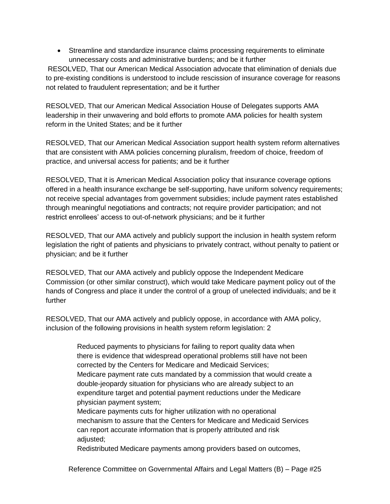Streamline and standardize insurance claims processing requirements to eliminate unnecessary costs and administrative burdens; and be it further

RESOLVED, That our American Medical Association advocate that elimination of denials due to pre-existing conditions is understood to include rescission of insurance coverage for reasons not related to fraudulent representation; and be it further

RESOLVED, That our American Medical Association House of Delegates supports AMA leadership in their unwavering and bold efforts to promote AMA policies for health system reform in the United States; and be it further

RESOLVED, That our American Medical Association support health system reform alternatives that are consistent with AMA policies concerning pluralism, freedom of choice, freedom of practice, and universal access for patients; and be it further

RESOLVED, That it is American Medical Association policy that insurance coverage options offered in a health insurance exchange be self-supporting, have uniform solvency requirements; not receive special advantages from government subsidies; include payment rates established through meaningful negotiations and contracts; not require provider participation; and not restrict enrollees' access to out-of-network physicians; and be it further

RESOLVED, That our AMA actively and publicly support the inclusion in health system reform legislation the right of patients and physicians to privately contract, without penalty to patient or physician; and be it further

RESOLVED, That our AMA actively and publicly oppose the Independent Medicare Commission (or other similar construct), which would take Medicare payment policy out of the hands of Congress and place it under the control of a group of unelected individuals; and be it further

RESOLVED, That our AMA actively and publicly oppose, in accordance with AMA policy, inclusion of the following provisions in health system reform legislation: 2

> Reduced payments to physicians for failing to report quality data when there is evidence that widespread operational problems still have not been corrected by the Centers for Medicare and Medicaid Services; Medicare payment rate cuts mandated by a commission that would create a double-jeopardy situation for physicians who are already subject to an expenditure target and potential payment reductions under the Medicare physician payment system;

 Medicare payments cuts for higher utilization with no operational mechanism to assure that the Centers for Medicare and Medicaid Services can report accurate information that is properly attributed and risk adjusted;

Redistributed Medicare payments among providers based on outcomes,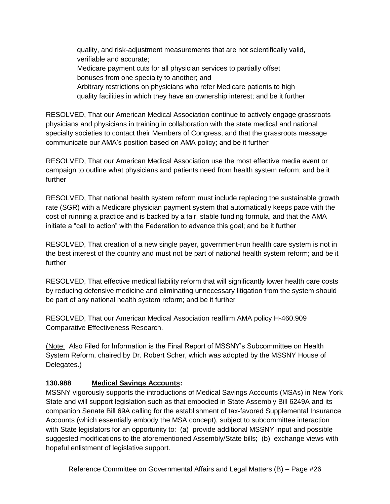quality, and risk-adjustment measurements that are not scientifically valid, verifiable and accurate; Medicare payment cuts for all physician services to partially offset bonuses from one specialty to another; and Arbitrary restrictions on physicians who refer Medicare patients to high quality facilities in which they have an ownership interest; and be it further

RESOLVED, That our American Medical Association continue to actively engage grassroots physicians and physicians in training in collaboration with the state medical and national specialty societies to contact their Members of Congress, and that the grassroots message communicate our AMA's position based on AMA policy; and be it further

RESOLVED, That our American Medical Association use the most effective media event or campaign to outline what physicians and patients need from health system reform; and be it further

RESOLVED, That national health system reform must include replacing the sustainable growth rate (SGR) with a Medicare physician payment system that automatically keeps pace with the cost of running a practice and is backed by a fair, stable funding formula, and that the AMA initiate a "call to action" with the Federation to advance this goal; and be it further

RESOLVED, That creation of a new single payer, government-run health care system is not in the best interest of the country and must not be part of national health system reform; and be it further

RESOLVED, That effective medical liability reform that will significantly lower health care costs by reducing defensive medicine and eliminating unnecessary litigation from the system should be part of any national health system reform; and be it further

RESOLVED, That our American Medical Association reaffirm AMA policy H-460.909 Comparative Effectiveness Research.

(Note: Also Filed for Information is the Final Report of MSSNY's Subcommittee on Health System Reform, chaired by Dr. Robert Scher, which was adopted by the MSSNY House of Delegates.)

### **130.988 Medical Savings Accounts:**

MSSNY vigorously supports the introductions of Medical Savings Accounts (MSAs) in New York State and will support legislation such as that embodied in State Assembly Bill 6249A and its companion Senate Bill 69A calling for the establishment of tax-favored Supplemental Insurance Accounts (which essentially embody the MSA concept), subject to subcommittee interaction with State legislators for an opportunity to: (a) provide additional MSSNY input and possible suggested modifications to the aforementioned Assembly/State bills; (b) exchange views with hopeful enlistment of legislative support.